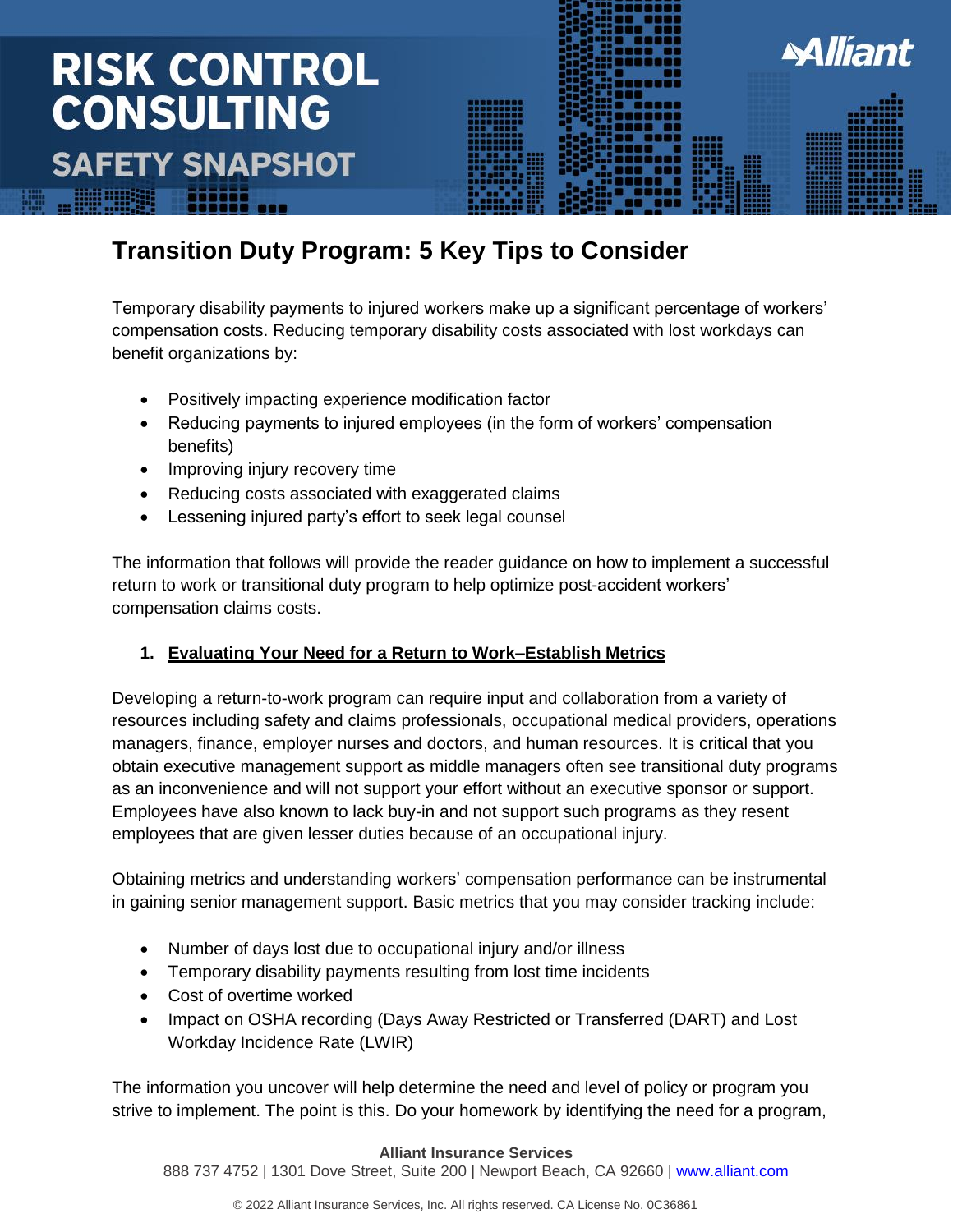## **RISK CONTROL CONSULTING SAFETY SNAPSHOT**



### **Transition Duty Program: 5 Key Tips to Consider**

Temporary disability payments to injured workers make up a significant percentage of workers' compensation costs. Reducing temporary disability costs associated with lost workdays can benefit organizations by:

- Positively impacting experience modification factor
- Reducing payments to injured employees (in the form of workers' compensation benefits)
- Improving injury recovery time
- Reducing costs associated with exaggerated claims
- Lessening injured party's effort to seek legal counsel

The information that follows will provide the reader guidance on how to implement a successful return to work or transitional duty program to help optimize post-accident workers' compensation claims costs.

#### **1. Evaluating Your Need for a Return to Work–Establish Metrics**

Developing a return-to-work program can require input and collaboration from a variety of resources including safety and claims professionals, occupational medical providers, operations managers, finance, employer nurses and doctors, and human resources. It is critical that you obtain executive management support as middle managers often see transitional duty programs as an inconvenience and will not support your effort without an executive sponsor or support. Employees have also known to lack buy-in and not support such programs as they resent employees that are given lesser duties because of an occupational injury.

Obtaining metrics and understanding workers' compensation performance can be instrumental in gaining senior management support. Basic metrics that you may consider tracking include:

- Number of days lost due to occupational injury and/or illness
- Temporary disability payments resulting from lost time incidents
- Cost of overtime worked
- Impact on OSHA recording (Days Away Restricted or Transferred (DART) and Lost Workday Incidence Rate (LWIR)

The information you uncover will help determine the need and level of policy or program you strive to implement. The point is this. Do your homework by identifying the need for a program,

#### **Alliant Insurance Services**

888 737 4752 | 1301 Dove Street, Suite 200 | Newport Beach, CA 92660 | [www.alliant.com](http://www.alliant.com/)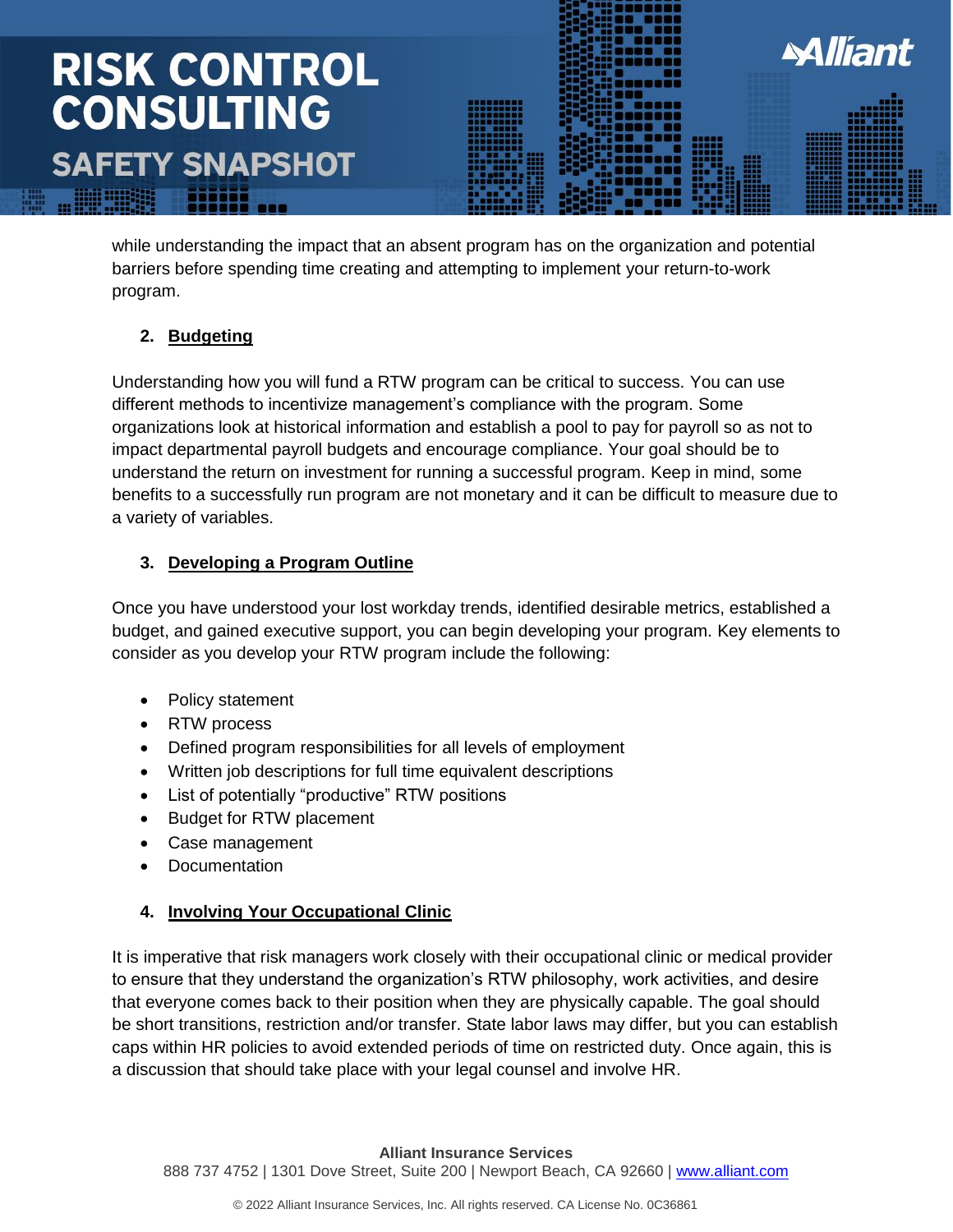# **RISK CONTROL<br>CONSULTING SAFETY SNAPSHOT**

while understanding the impact that an absent program has on the organization and potential barriers before spending time creating and attempting to implement your return-to-work program.

**Alliant** 

#### **2. Budgeting**

Understanding how you will fund a RTW program can be critical to success. You can use different methods to incentivize management's compliance with the program. Some organizations look at historical information and establish a pool to pay for payroll so as not to impact departmental payroll budgets and encourage compliance. Your goal should be to understand the return on investment for running a successful program. Keep in mind, some benefits to a successfully run program are not monetary and it can be difficult to measure due to a variety of variables.

#### **3. Developing a Program Outline**

Once you have understood your lost workday trends, identified desirable metrics, established a budget, and gained executive support, you can begin developing your program. Key elements to consider as you develop your RTW program include the following:

- Policy statement
- RTW process
- Defined program responsibilities for all levels of employment
- Written job descriptions for full time equivalent descriptions
- List of potentially "productive" RTW positions
- Budget for RTW placement
- Case management
- Documentation

#### **4. Involving Your Occupational Clinic**

It is imperative that risk managers work closely with their occupational clinic or medical provider to ensure that they understand the organization's RTW philosophy, work activities, and desire that everyone comes back to their position when they are physically capable. The goal should be short transitions, restriction and/or transfer. State labor laws may differ, but you can establish caps within HR policies to avoid extended periods of time on restricted duty. Once again, this is a discussion that should take place with your legal counsel and involve HR.